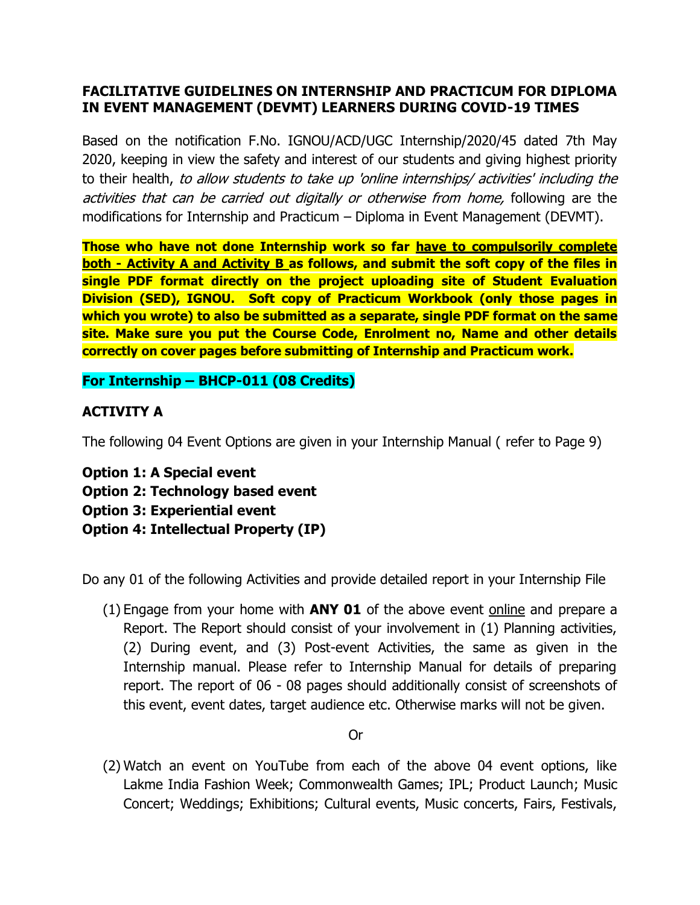## **FACILITATIVE GUIDELINES ON INTERNSHIP AND PRACTICUM FOR DIPLOMA IN EVENT MANAGEMENT (DEVMT) LEARNERS DURING COVID-19 TIMES**

Based on the notification F.No. IGNOU/ACD/UGC Internship/2020/45 dated 7th May 2020, keeping in view the safety and interest of our students and giving highest priority to their health, to allow students to take up 'online internships/ activities' including the activities that can be carried out digitally or otherwise from home, following are the modifications for Internship and Practicum – Diploma in Event Management (DEVMT).

**Those who have not done Internship work so far have to compulsorily complete both - Activity A and Activity B as follows, and submit the soft copy of the files in single PDF format directly on the project uploading site of Student Evaluation Division (SED), IGNOU. Soft copy of Practicum Workbook (only those pages in which you wrote) to also be submitted as a separate, single PDF format on the same site. Make sure you put the Course Code, Enrolment no, Name and other details correctly on cover pages before submitting of Internship and Practicum work.**

**For Internship – BHCP-011 (08 Credits)**

## **ACTIVITY A**

The following 04 Event Options are given in your Internship Manual ( refer to Page 9)

**Option 1: A Special event Option 2: Technology based event Option 3: Experiential event Option 4: Intellectual Property (IP)**

Do any 01 of the following Activities and provide detailed report in your Internship File

(1) Engage from your home with **ANY 01** of the above event online and prepare a Report. The Report should consist of your involvement in (1) Planning activities, (2) During event, and (3) Post-event Activities, the same as given in the Internship manual. Please refer to Internship Manual for details of preparing report. The report of 06 - 08 pages should additionally consist of screenshots of this event, event dates, target audience etc. Otherwise marks will not be given.

**Oriented States of the Contract Oriented States of the Contract Oriented States of the Contract Oriented States** 

(2) Watch an event on YouTube from each of the above 04 event options, like Lakme India Fashion Week; Commonwealth Games; IPL; Product Launch; Music Concert; Weddings; Exhibitions; Cultural events, Music concerts, Fairs, Festivals,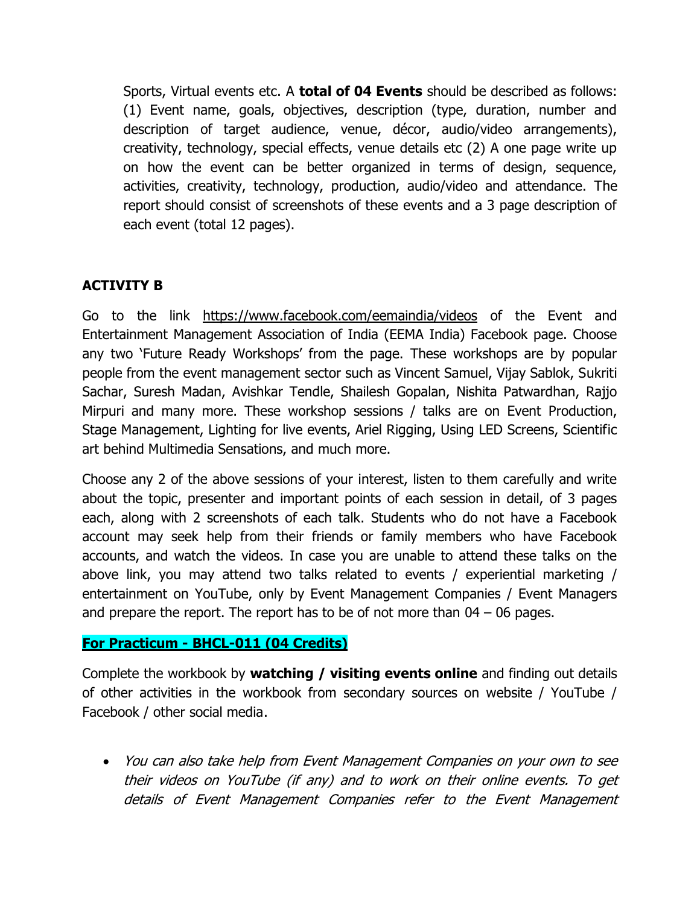Sports, Virtual events etc. A **total of 04 Events** should be described as follows: (1) Event name, goals, objectives, description (type, duration, number and description of target audience, venue, décor, audio/video arrangements), creativity, technology, special effects, venue details etc (2) A one page write up on how the event can be better organized in terms of design, sequence, activities, creativity, technology, production, audio/video and attendance. The report should consist of screenshots of these events and a 3 page description of each event (total 12 pages).

## **ACTIVITY B**

Go to the link <https://www.facebook.com/eemaindia/videos> of the Event and Entertainment Management Association of India (EEMA India) Facebook page. Choose any two 'Future Ready Workshops' from the page. These workshops are by popular people from the event management sector such as Vincent Samuel, Vijay Sablok, Sukriti Sachar, Suresh Madan, Avishkar Tendle, Shailesh Gopalan, Nishita Patwardhan, Rajjo Mirpuri and many more. These workshop sessions / talks are on Event Production, Stage Management, Lighting for live events, Ariel Rigging, Using LED Screens, Scientific art behind Multimedia Sensations, and much more.

Choose any 2 of the above sessions of your interest, listen to them carefully and write about the topic, presenter and important points of each session in detail, of 3 pages each, along with 2 screenshots of each talk. Students who do not have a Facebook account may seek help from their friends or family members who have Facebook accounts, and watch the videos. In case you are unable to attend these talks on the above link, you may attend two talks related to events / experiential marketing / entertainment on YouTube, only by Event Management Companies / Event Managers and prepare the report. The report has to be of not more than  $04 - 06$  pages.

## **For Practicum - BHCL-011 (04 Credits)**

Complete the workbook by **watching / visiting events online** and finding out details of other activities in the workbook from secondary sources on website / YouTube / Facebook / other social media.

 You can also take help from Event Management Companies on your own to see their videos on YouTube (if any) and to work on their online events. To get details of Event Management Companies refer to the Event Management